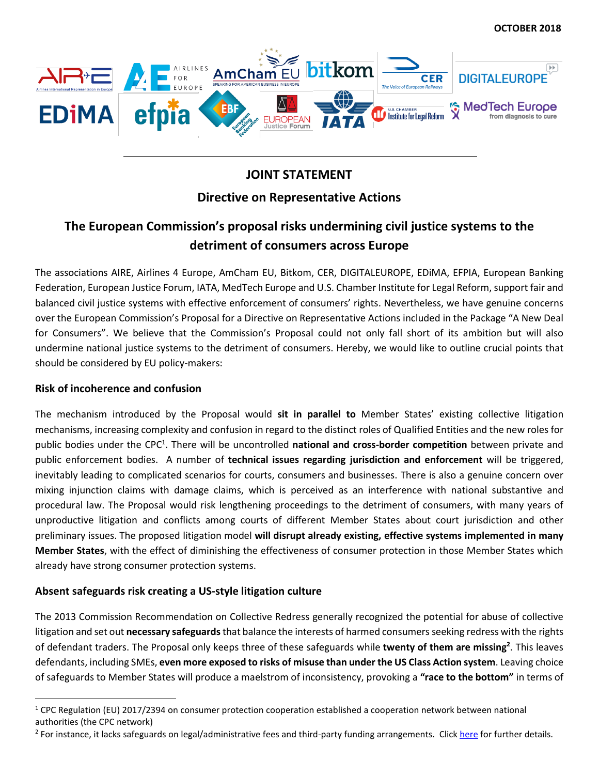

## **JOINT STATEMENT**

### **Directive on Representative Actions**

# **The European Commission's proposal risks undermining civil justice systems to the detriment of consumers across Europe**

The associations AIRE, Airlines 4 Europe, AmCham EU, Bitkom, CER, DIGITALEUROPE, EDiMA, EFPIA, European Banking Federation, European Justice Forum, IATA, MedTech Europe and U.S. Chamber Institute for Legal Reform, support fair and balanced civil justice systems with effective enforcement of consumers' rights. Nevertheless, we have genuine concerns over the European Commission's Proposal for a Directive on Representative Actions included in the Package "A New Deal for Consumers". We believe that the Commission's Proposal could not only fall short of its ambition but will also undermine national justice systems to the detriment of consumers. Hereby, we would like to outline crucial points that should be considered by EU policy-makers:

#### **Risk of incoherence and confusion**

 $\overline{a}$ 

The mechanism introduced by the Proposal would **sit in parallel to** Member States' existing collective litigation mechanisms, increasing complexity and confusion in regard to the distinct roles of Qualified Entities and the new roles for public bodies under the CPC<sup>1</sup>. There will be uncontrolled national and cross-border competition between private and public enforcement bodies. A number of **technical issues regarding jurisdiction and enforcement** will be triggered, inevitably leading to complicated scenarios for courts, consumers and businesses. There is also a genuine concern over mixing injunction claims with damage claims, which is perceived as an interference with national substantive and procedural law. The Proposal would risk lengthening proceedings to the detriment of consumers, with many years of unproductive litigation and conflicts among courts of different Member States about court jurisdiction and other preliminary issues. The proposed litigation model **will disrupt already existing, effective systems implemented in many Member States**, with the effect of diminishing the effectiveness of consumer protection in those Member States which already have strong consumer protection systems.

#### **Absent safeguards risk creating a US-style litigation culture**

The 2013 Commission Recommendation on Collective Redress generally recognized the potential for abuse of collective litigation and set out **necessary safeguards**that balance the interests of harmed consumers seeking redress with the rights of defendant traders. The Proposal only keeps three of these safeguards while **twenty of them are missing<sup>2</sup>** . This leaves defendants, including SMEs, **even more exposed to risks of misuse than under the US Class Action system**. Leaving choice of safeguards to Member States will produce a maelstrom of inconsistency, provoking a **"race to the bottom"** in terms of

 $1$  CPC Regulation (EU) 2017/2394 on consumer protection cooperation established a cooperation network between national authorities (the CPC network)

<sup>&</sup>lt;sup>2</sup> For instance, it lacks safeguards on legal/administrative fees and third-party funding arrangements. Click *here* for further details.